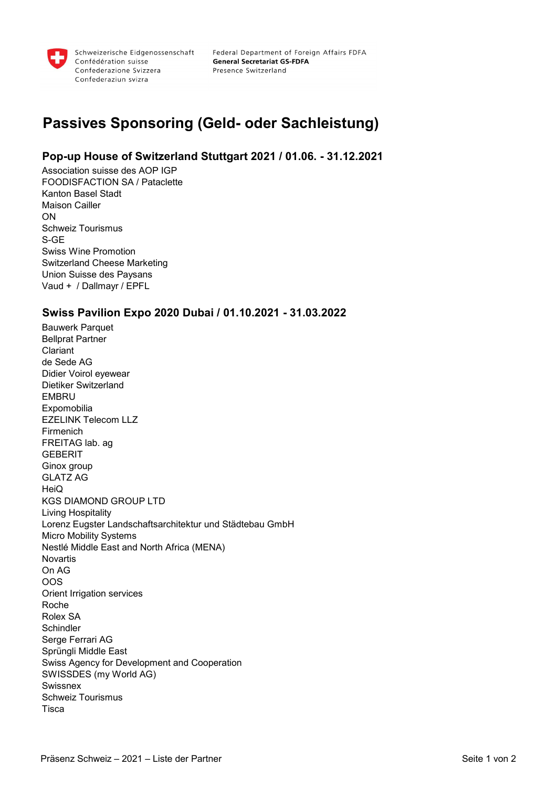

Federal Department of Foreign Affairs FDFA **General Secretariat GS-FDFA** Presence Switzerland

# Passives Sponsoring (Geld- oder Sachleistung)

### Pop-up House of Switzerland Stuttgart 2021 / 01.06. - 31.12.2021

Association suisse des AOP IGP FOODISFACTION SA / Pataclette Kanton Basel Stadt Maison Cailler ON Schweiz Tourismus S-GE Swiss Wine Promotion Switzerland Cheese Marketing Union Suisse des Paysans Vaud + / Dallmayr / EPFL

#### Swiss Pavilion Expo 2020 Dubai / 01.10.2021 - 31.03.2022

Bauwerk Parquet Bellprat Partner Clariant de Sede AG Didier Voirol eyewear Dietiker Switzerland **EMBRU Expomobilia** EZELINK Telecom LLZ Firmenich FREITAG lab. ag **GEBERIT** Ginox group GLATZ AG **HeiQ** KGS DIAMOND GROUP LTD Living Hospitality Lorenz Eugster Landschaftsarchitektur und Städtebau GmbH Micro Mobility Systems Nestlé Middle East and North Africa (MENA) Novartis On AG OOS Orient Irrigation services Roche Rolex SA **Schindler** Serge Ferrari AG Sprüngli Middle East Swiss Agency for Development and Cooperation SWISSDES (my World AG) Swissnex Schweiz Tourismus Tisca